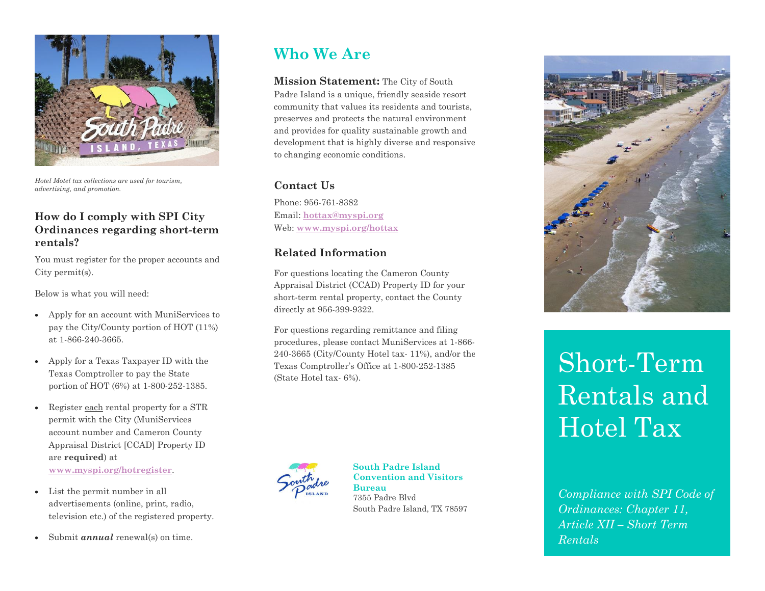

*Hotel Motel tax collections are used for tourism, advertising, and promotion.*

#### **How do I comply with SPI City Ordinances regarding short-term rentals?**

You must register for the proper accounts and City permit(s).

Below is what you will need:

- Apply for an account with MuniServices to pay the City/County portion of HOT (11%) at 1-866-240-3665.
- Apply for a Texas Taxpayer ID with the Texas Comptroller to pay the State portion of HOT (6%) at 1-800-252-1385.
- Register each rental property for a STR permit with the City (MuniServices account number and Cameron County Appraisal District [CCAD] Property ID are **required**) at **[www.myspi.org/hotregister](http://www.myspi.org/hotregister)**.
- List the permit number in all advertisements (online, print, radio, television etc.) of the registered property.
- Submit *annual* renewal(s) on time.

# **Who We Are**

**Mission Statement:** The City of South Padre Island is a unique, friendly seaside resort community that values its residents and tourists, preserves and protects the natural environment and provides for quality sustainable growth and development that is highly diverse and responsive to changing economic conditions.

#### **Contact Us**

Phone: 956-761-8382 Email: **[hottax@myspi.org](mailto:hottax@myspi.org)** Web: **[www.myspi.org/hottax](http://www.myspi.org/hottax)**

### **Related Information**

For questions locating the Cameron County Appraisal District (CCAD) Property ID for your short-term rental property, contact the County directly at 956-399-9322.

For questions regarding remittance and filing procedures, please contact MuniServices at 1-866- 240-3665 (City/County Hotel tax- 11%), and/or the Texas Comptroller's Office at 1-800-252-1385 (State Hotel tax- 6%).



#### **South Padre Island Convention and Visitors Bureau** 7355 Padre Blvd





# Short-Term Rentals and Hotel Tax

*Compliance with SPI Code of Ordinances: Chapter 11, Article XII – Short Term Rentals*